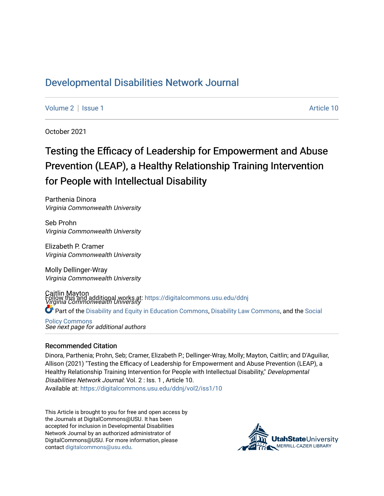## [Developmental Disabilities Network Journal](https://digitalcommons.usu.edu/ddnj)

[Volume 2](https://digitalcommons.usu.edu/ddnj/vol2) | [Issue 1](https://digitalcommons.usu.edu/ddnj/vol2/iss1) Article 10

October 2021

# Testing the Efficacy of Leadership for Empowerment and Abuse Prevention (LEAP), a Healthy Relationship Training Intervention for People with Intellectual Disability

Parthenia Dinora Virginia Commonwealth University

Seb Prohn Virginia Commonwealth University

Elizabeth P. Cramer Virginia Commonwealth University

Molly Dellinger-Wray Virginia Commonwealth University

Caitlin Mayton Follow this and additional works at: https://digitalcommons.usu.edu/ddnj<br>*Virginia Commonwealth University* Part of the [Disability and Equity in Education Commons](http://network.bepress.com/hgg/discipline/1040?utm_source=digitalcommons.usu.edu%2Fddnj%2Fvol2%2Fiss1%2F10&utm_medium=PDF&utm_campaign=PDFCoverPages), [Disability Law Commons,](http://network.bepress.com/hgg/discipline/1074?utm_source=digitalcommons.usu.edu%2Fddnj%2Fvol2%2Fiss1%2F10&utm_medium=PDF&utm_campaign=PDFCoverPages) and the [Social](http://network.bepress.com/hgg/discipline/1030?utm_source=digitalcommons.usu.edu%2Fddnj%2Fvol2%2Fiss1%2F10&utm_medium=PDF&utm_campaign=PDFCoverPages) 

See next page for additional authors [Policy Commons](http://network.bepress.com/hgg/discipline/1030?utm_source=digitalcommons.usu.edu%2Fddnj%2Fvol2%2Fiss1%2F10&utm_medium=PDF&utm_campaign=PDFCoverPages)

#### Recommended Citation

Dinora, Parthenia; Prohn, Seb; Cramer, Elizabeth P.; Dellinger-Wray, Molly; Mayton, Caitlin; and D'Aguiliar, Allison (2021) "Testing the Efficacy of Leadership for Empowerment and Abuse Prevention (LEAP), a Healthy Relationship Training Intervention for People with Intellectual Disability," Developmental Disabilities Network Journal: Vol. 2 : Iss. 1 , Article 10. Available at: [https://digitalcommons.usu.edu/ddnj/vol2/iss1/10](https://digitalcommons.usu.edu/ddnj/vol2/iss1/10?utm_source=digitalcommons.usu.edu%2Fddnj%2Fvol2%2Fiss1%2F10&utm_medium=PDF&utm_campaign=PDFCoverPages)

This Article is brought to you for free and open access by the Journals at DigitalCommons@USU. It has been accepted for inclusion in Developmental Disabilities Network Journal by an authorized administrator of DigitalCommons@USU. For more information, please contact [digitalcommons@usu.edu](mailto:digitalcommons@usu.edu).

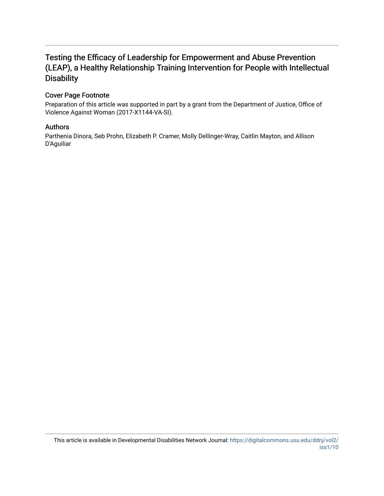## Testing the Efficacy of Leadership for Empowerment and Abuse Prevention (LEAP), a Healthy Relationship Training Intervention for People with Intellectual **Disability**

## Cover Page Footnote

Preparation of this article was supported in part by a grant from the Department of Justice, Office of Violence Against Woman (2017-X1144-VA-SI).

#### Authors

Parthenia Dinora, Seb Prohn, Elizabeth P. Cramer, Molly Dellinger-Wray, Caitlin Mayton, and Allison D'Aguiliar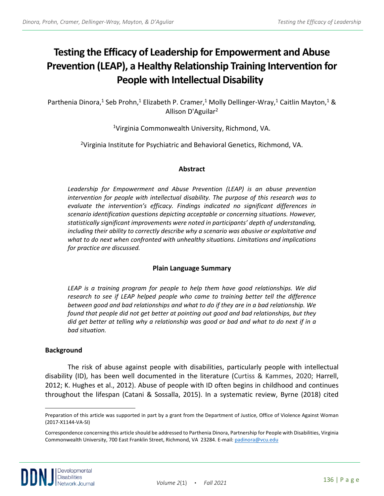# **Testing the Efficacy of Leadership for Empowerment and Abuse Prevention (LEAP), a Healthy Relationship Training Intervention for People with Intellectual Disability**

Parthenia Dinora,<sup>1</sup> Seb Prohn,<sup>1</sup> Elizabeth P. Cramer,<sup>1</sup> Molly Dellinger-Wray,<sup>1</sup> Caitlin Mayton,<sup>1</sup> & Allison D'Aguilar2

1Virginia Commonwealth University, Richmond, VA.

<sup>2</sup>Virginia Institute for Psychiatric and Behavioral Genetics, Richmond, VA.

#### **Abstract**

*Leadership for Empowerment and Abuse Prevention (LEAP) is an abuse prevention intervention for people with intellectual disability. The purpose of this research was to evaluate the intervention's efficacy. Findings indicated no significant differences in scenario identification questions depicting acceptable or concerning situations. However, statistically significant improvements were noted in participants' depth of understanding, including their ability to correctly describe why a scenario was abusive or exploitative and what to do next when confronted with unhealthy situations. Limitations and implications for practice are discussed.*

## **Plain Language Summary**

*LEAP is a training program for people to help them have good relationships. We did research to see if LEAP helped people who came to training better tell the difference between good and bad relationships and what to do if they are in a bad relationship. We found that people did not get better at pointing out good and bad relationships, but they did get better at telling why a relationship was good or bad and what to do next if in a bad situation.*

#### **Background**

The risk of abuse against people with disabilities, particularly people with intellectual disability (ID), has been well documented in the literature (Curtiss & Kammes, 2020; Harrell, 2012; K. Hughes et al., 2012). Abuse of people with ID often begins in childhood and continues throughout the lifespan (Catani & Sossalla, 2015). In a systematic review, Byrne (2018) cited

<span id="page-2-0"></span>Preparation of this article was supported in part by a grant from the Department of Justice, Office of Violence Against Woman (2017-X1144-VA-SI)

<sup>a</sup> Correspondence concerning this article should be addressed to Parthenia Dinora, Partnership for People with Disabilities, Virginia Commonwealth University, 700 East Franklin Street, Richmond, VA 23284. E-mail[: padinora@vcu.edu](mailto:padinora@vcu.edu)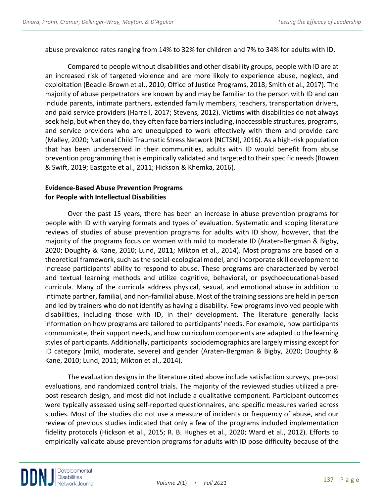abuse prevalence rates ranging from 14% to 32% for children and 7% to 34% for adults with ID.

Compared to people without disabilities and other disability groups, people with ID are at an increased risk of targeted violence and are more likely to experience abuse, neglect, and exploitation (Beadle-Brown et al., 2010; Office of Justice Programs, 2018; Smith et al., 2017). The majority of abuse perpetrators are known by and may be familiar to the person with ID and can include parents, intimate partners, extended family members, teachers, transportation drivers, and paid service providers (Harrell, 2017; Stevens, 2012). Victims with disabilities do not always seek help, but when they do, they often face barriers including, inaccessible structures, programs, and service providers who are unequipped to work effectively with them and provide care (Malley, 2020; National Child Traumatic Stress Network [NCTSN], 2016). As a high-risk population that has been underserved in their communities, adults with ID would benefit from abuse prevention programming that is empirically validated and targeted to their specific needs (Bowen & Swift, 2019; Eastgate et al., 2011; Hickson & Khemka, 2016).

## **Evidence-Based Abuse Prevention Programs for People with Intellectual Disabilities**

Over the past 15 years, there has been an increase in abuse prevention programs for people with ID with varying formats and types of evaluation. Systematic and scoping literature reviews of studies of abuse prevention programs for adults with ID show, however, that the majority of the programs focus on women with mild to moderate ID (Araten-Bergman & Bigby, 2020; Doughty & Kane, 2010; Lund, 2011; Mikton et al., 2014). Most programs are based on a theoretical framework, such as the social-ecological model, and incorporate skill development to increase participants' ability to respond to abuse. These programs are characterized by verbal and textual learning methods and utilize cognitive, behavioral, or psychoeducational-based curricula. Many of the curricula address physical, sexual, and emotional abuse in addition to intimate partner, familial, and non-familial abuse. Most of the training sessions are held in person and led by trainers who do not identify as having a disability. Few programs involved people with disabilities, including those with ID, in their development. The literature generally lacks information on how programs are tailored to participants' needs. For example, how participants communicate, their support needs, and how curriculum components are adapted to the learning styles of participants. Additionally, participants' sociodemographics are largely missing except for ID category (mild, moderate, severe) and gender (Araten-Bergman & Bigby, 2020; Doughty & Kane, 2010; Lund, 2011; Mikton et al., 2014).

The evaluation designs in the literature cited above include satisfaction surveys, pre-post evaluations, and randomized control trials. The majority of the reviewed studies utilized a prepost research design, and most did not include a qualitative component. Participant outcomes were typically assessed using self-reported questionnaires, and specific measures varied across studies. Most of the studies did not use a measure of incidents or frequency of abuse, and our review of previous studies indicated that only a few of the programs included implementation fidelity protocols (Hickson et al., 2015; R. B. Hughes et al., 2020; Ward et al., 2012). Efforts to empirically validate abuse prevention programs for adults with ID pose difficulty because of the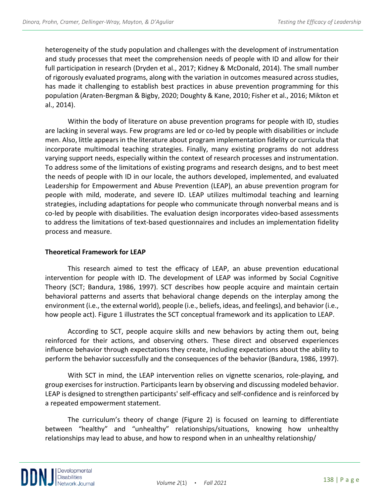heterogeneity of the study population and challenges with the development of instrumentation and study processes that meet the comprehension needs of people with ID and allow for their full participation in research (Dryden et al., 2017; Kidney & McDonald, 2014). The small number of rigorously evaluated programs, along with the variation in outcomes measured across studies, has made it challenging to establish best practices in abuse prevention programming for this population (Araten-Bergman & Bigby, 2020; Doughty & Kane, 2010; Fisher et al., 2016; Mikton et al., 2014).

Within the body of literature on abuse prevention programs for people with ID, studies are lacking in several ways. Few programs are led or co-led by people with disabilities or include men. Also, little appears in the literature about program implementation fidelity or curricula that incorporate multimodal teaching strategies. Finally, many existing programs do not address varying support needs, especially within the context of research processes and instrumentation. To address some of the limitations of existing programs and research designs, and to best meet the needs of people with ID in our locale, the authors developed, implemented, and evaluated Leadership for Empowerment and Abuse Prevention (LEAP), an abuse prevention program for people with mild, moderate, and severe ID. LEAP utilizes multimodal teaching and learning strategies, including adaptations for people who communicate through nonverbal means and is co-led by people with disabilities. The evaluation design incorporates video-based assessments to address the limitations of text-based questionnaires and includes an implementation fidelity process and measure.

## **Theoretical Framework for LEAP**

This research aimed to test the efficacy of LEAP, an abuse prevention educational intervention for people with ID. The development of LEAP was informed by Social Cognitive Theory (SCT; Bandura, 1986, 1997). SCT describes how people acquire and maintain certain behavioral patterns and asserts that behavioral change depends on the interplay among the environment (i.e., the external world), people (i.e., beliefs, ideas, and feelings), and behavior (i.e., how people act). Figure 1 illustrates the SCT conceptual framework and its application to LEAP.

 According to SCT, people acquire skills and new behaviors by acting them out, being reinforced for their actions, and observing others. These direct and observed experiences influence behavior through expectations they create, including expectations about the ability to perform the behavior successfully and the consequences of the behavior (Bandura, 1986, 1997).

With SCT in mind, the LEAP intervention relies on vignette scenarios, role-playing, and group exercises for instruction. Participants learn by observing and discussing modeled behavior. LEAP is designed to strengthen participants' self-efficacy and self-confidence and is reinforced by a repeated empowerment statement.

The curriculum's theory of change (Figure 2) is focused on learning to differentiate between "healthy" and "unhealthy" relationships/situations, knowing how unhealthy relationships may lead to abuse, and how to respond when in an unhealthy relationship/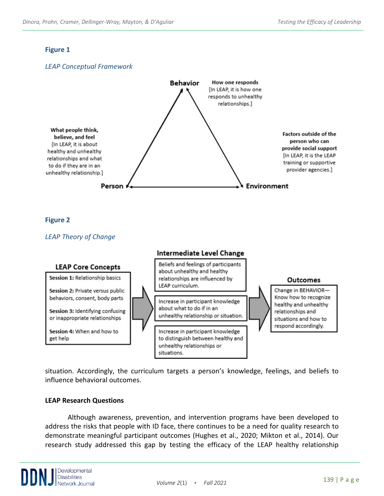## **Figure 1**



situation. Accordingly, the curriculum targets a person's knowledge, feelings, and beliefs to influence behavioral outcomes.

## **LEAP Research Questions**

Although awareness, prevention, and intervention programs have been developed to address the risks that people with ID face, there continues to be a need for quality research to demonstrate meaningful participant outcomes (Hughes et al., 2020; Mikton et al., 2014). Our research study addressed this gap by testing the efficacy of the LEAP healthy relationship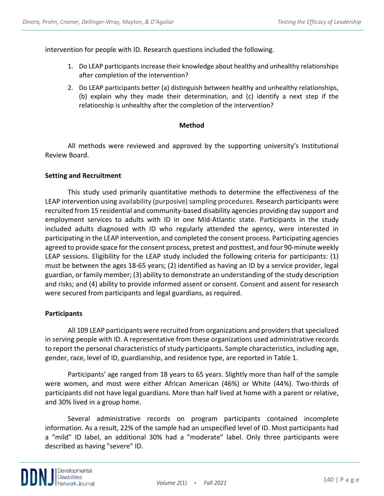intervention for people with ID. Research questions included the following.

- 1. Do LEAP participants increase their knowledge about healthy and unhealthy relationships after completion of the intervention?
- 2. Do LEAP participants better (a) distinguish between healthy and unhealthy relationships, (b) explain why they made their determination, and (c) identify a next step if the relationship is unhealthy after the completion of the intervention?

## **Method**

All methods were reviewed and approved by the supporting university's Institutional Review Board.

#### **Setting and Recruitment**

This study used primarily quantitative methods to determine the effectiveness of the LEAP intervention using availability (purposive) sampling procedures. Research participants were recruited from 15 residential and community-based disability agencies providing day support and employment services to adults with ID in one Mid-Atlantic state. Participants in the study included adults diagnosed with ID who regularly attended the agency, were interested in participating in the LEAP intervention, and completed the consent process. Participating agencies agreed to provide space for the consent process, pretest and posttest, and four 90-minute weekly LEAP sessions. Eligibility for the LEAP study included the following criteria for participants: (1) must be between the ages 18-65 years; (2) identified as having an ID by a service provider, legal guardian, or family member; (3) ability to demonstrate an understanding of the study description and risks; and (4) ability to provide informed assent or consent. Consent and assent for research were secured from participants and legal guardians, as required.

## **Participants**

All 109 LEAP participants were recruited from organizations and providersthat specialized in serving people with ID. A representative from these organizations used administrative records to report the personal characteristics of study participants. Sample characteristics, including age, gender, race, level of ID, guardianship, and residence type, are reported in Table 1.

Participants' age ranged from 18 years to 65 years. Slightly more than half of the sample were women, and most were either African American (46%) or White (44%). Two-thirds of participants did not have legal guardians. More than half lived at home with a parent or relative, and 30% lived in a group home.

Several administrative records on program participants contained incomplete information. As a result, 22% of the sample had an unspecified level of ID. Most participants had a "mild" ID label, an additional 30% had a "moderate" label. Only three participants were described as having "severe" ID.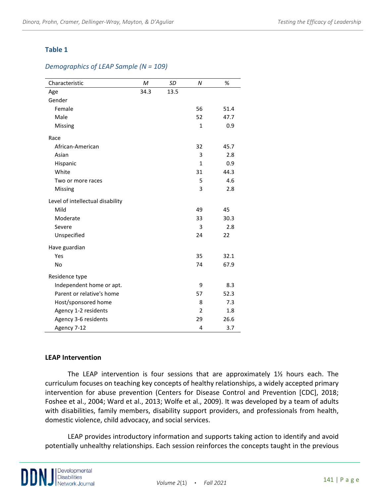## **Table 1**

#### *Demographics of LEAP Sample (N = 109)*

| Characteristic                   | M    | SD   | $\boldsymbol{N}$ | %    |
|----------------------------------|------|------|------------------|------|
| Age                              | 34.3 | 13.5 |                  |      |
| Gender                           |      |      |                  |      |
| Female                           |      |      | 56               | 51.4 |
| Male                             |      |      | 52               | 47.7 |
| Missing                          |      |      | $\mathbf{1}$     | 0.9  |
| Race                             |      |      |                  |      |
| African-American                 |      |      | 32               | 45.7 |
| Asian                            |      |      | 3                | 2.8  |
| Hispanic                         |      |      | $\mathbf{1}$     | 0.9  |
| White                            |      |      | 31               | 44.3 |
| Two or more races                |      |      | 5                | 4.6  |
| Missing                          |      |      | 3                | 2.8  |
| Level of intellectual disability |      |      |                  |      |
| Mild                             |      |      | 49               | 45   |
| Moderate                         |      |      | 33               | 30.3 |
| Severe                           |      |      | 3                | 2.8  |
| Unspecified                      |      |      | 24               | 22   |
| Have guardian                    |      |      |                  |      |
| Yes                              |      |      | 35               | 32.1 |
| <b>No</b>                        |      |      | 74               | 67.9 |
| Residence type                   |      |      |                  |      |
| Independent home or apt.         |      |      | 9                | 8.3  |
| Parent or relative's home        |      |      | 57               | 52.3 |
| Host/sponsored home              |      |      | 8                | 7.3  |
| Agency 1-2 residents             |      |      | $\overline{2}$   | 1.8  |
| Agency 3-6 residents             |      |      | 29               | 26.6 |
| Agency 7-12                      |      |      | 4                | 3.7  |

#### **LEAP Intervention**

The LEAP intervention is four sessions that are approximately  $1\frac{1}{2}$  hours each. The curriculum focuses on teaching key concepts of healthy relationships, a widely accepted primary intervention for abuse prevention (Centers for Disease Control and Prevention [CDC], 2018; Foshee et al., 2004; Ward et al., 2013; Wolfe et al., 2009). It was developed by a team of adults with disabilities, family members, disability support providers, and professionals from health, domestic violence, child advocacy, and social services.

LEAP provides introductory information and supports taking action to identify and avoid potentially unhealthy relationships. Each session reinforces the concepts taught in the previous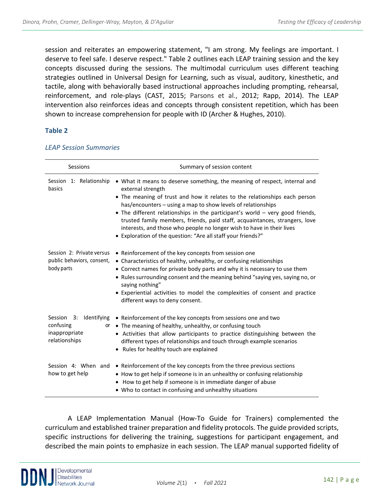session and reiterates an empowering statement, "I am strong. My feelings are important. I deserve to feel safe. I deserve respect." Table 2 outlines each LEAP training session and the key concepts discussed during the sessions. The multimodal curriculum uses different teaching strategies outlined in Universal Design for Learning, such as visual, auditory, kinesthetic, and tactile, along with behaviorally based instructional approaches including prompting, rehearsal, reinforcement, and role-plays (CAST, 2015; Parsons et al., 2012; Rapp, 2014). The LEAP intervention also reinforces ideas and concepts through consistent repetition, which has been shown to increase comprehension for people with ID (Archer & Hughes, 2010).

## **Table 2**

| Sessions                                                                 | Summary of session content                                                                                                                                                                                                                                                                                                                                                                                                                                                                                                                             |  |  |  |  |
|--------------------------------------------------------------------------|--------------------------------------------------------------------------------------------------------------------------------------------------------------------------------------------------------------------------------------------------------------------------------------------------------------------------------------------------------------------------------------------------------------------------------------------------------------------------------------------------------------------------------------------------------|--|--|--|--|
| Session 1: Relationship<br>basics                                        | • What it means to deserve something, the meaning of respect, internal and<br>external strength<br>• The meaning of trust and how it relates to the relationships each person<br>has/encounters - using a map to show levels of relationships<br>• The different relationships in the participant's world – very good friends,<br>trusted family members, friends, paid staff, acquaintances, strangers, love<br>interests, and those who people no longer wish to have in their lives<br>• Exploration of the question: "Are all staff your friends?" |  |  |  |  |
| Session 2: Private versus<br>public behaviors, consent,<br>body parts    | • Reinforcement of the key concepts from session one<br>• Characteristics of healthy, unhealthy, or confusing relationships<br>• Correct names for private body parts and why it is necessary to use them<br>• Rules surrounding consent and the meaning behind "saying yes, saying no, or<br>saying nothing"<br>• Experiential activities to model the complexities of consent and practice<br>different ways to deny consent.                                                                                                                        |  |  |  |  |
| Session<br>3: Identifying<br>confusing<br>inappropriate<br>relationships | • Reinforcement of the key concepts from sessions one and two<br>or • The meaning of healthy, unhealthy, or confusing touch<br>• Activities that allow participants to practice distinguishing between the<br>different types of relationships and touch through example scenarios<br>• Rules for healthy touch are explained                                                                                                                                                                                                                          |  |  |  |  |
| how to get help                                                          | Session 4: When and $\bullet$ Reinforcement of the key concepts from the three previous sections<br>• How to get help if someone is in an unhealthy or confusing relationship<br>• How to get help if someone is in immediate danger of abuse<br>• Who to contact in confusing and unhealthy situations                                                                                                                                                                                                                                                |  |  |  |  |

#### *LEAP Session Summaries*

A LEAP Implementation Manual (How-To Guide for Trainers) complemented the curriculum and established trainer preparation and fidelity protocols. The guide provided scripts, specific instructions for delivering the training, suggestions for participant engagement, and described the main points to emphasize in each session. The LEAP manual supported fidelity of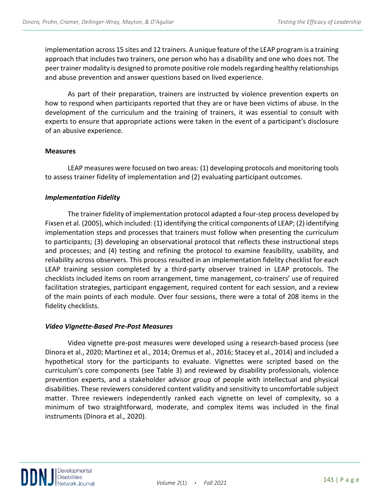implementation across 15 sites and 12 trainers. A unique feature of the LEAP program is a training approach that includes two trainers, one person who has a disability and one who does not. The peer trainer modality is designed to promote positive role models regarding healthy relationships and abuse prevention and answer questions based on lived experience.

As part of their preparation, trainers are instructed by violence prevention experts on how to respond when participants reported that they are or have been victims of abuse. In the development of the curriculum and the training of trainers, it was essential to consult with experts to ensure that appropriate actions were taken in the event of a participant's disclosure of an abusive experience.

## **Measures**

LEAP measures were focused on two areas: (1) developing protocols and monitoring tools to assess trainer fidelity of implementation and (2) evaluating participant outcomes.

## *Implementation Fidelity*

The trainer fidelity of implementation protocol adapted a four-step process developed by Fixsen et al. (2005), which included: (1) identifying the critical components of LEAP; (2) identifying implementation steps and processes that trainers must follow when presenting the curriculum to participants; (3) developing an observational protocol that reflects these instructional steps and processes; and (4) testing and refining the protocol to examine feasibility, usability, and reliability across observers. This process resulted in an implementation fidelity checklist for each LEAP training session completed by a third-party observer trained in LEAP protocols. The checklists included items on room arrangement, time management, co-trainers' use of required facilitation strategies, participant engagement, required content for each session, and a review of the main points of each module. Over four sessions, there were a total of 208 items in the fidelity checklists.

#### *Video Vignette-Based Pre-Post Measures*

Video vignette pre-post measures were developed using a research-based process (see Dinora et al., 2020; Martinez et al., 2014; Oremus et al., 2016; Stacey et al., 2014) and included a hypothetical story for the participants to evaluate. Vignettes were scripted based on the curriculum's core components (see Table 3) and reviewed by disability professionals, violence prevention experts, and a stakeholder advisor group of people with intellectual and physical disabilities. These reviewers considered content validity and sensitivity to uncomfortable subject matter. Three reviewers independently ranked each vignette on level of complexity, so a minimum of two straightforward, moderate, and complex items was included in the final instruments (Dinora et al., 2020).

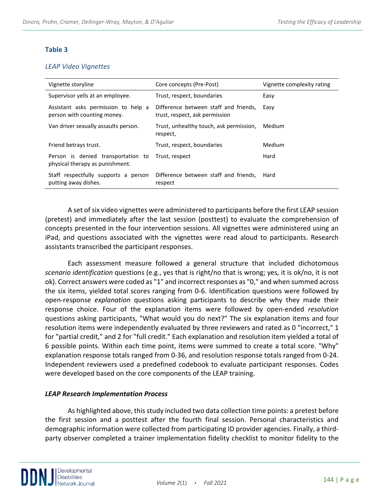### **Table 3**

#### *LEAP Video Vignettes*

| Vignette storyline                                                    | Core concepts (Pre-Post)                                                | Vignette complexity rating |  |
|-----------------------------------------------------------------------|-------------------------------------------------------------------------|----------------------------|--|
| Supervisor yells at an employee.                                      | Trust, respect, boundaries                                              | Easy                       |  |
| Assistant asks permission to help a<br>person with counting money.    | Difference between staff and friends,<br>trust, respect, ask permission | Easy                       |  |
| Van driver sexually assaults person.                                  | Trust, unhealthy touch, ask permission,<br>respect,                     | Medium                     |  |
| Friend betrays trust.                                                 | Trust, respect, boundaries                                              | Medium                     |  |
| Person is denied transportation to<br>physical therapy as punishment. | Trust, respect                                                          | Hard                       |  |
| Staff respectfully supports a person<br>putting away dishes.          | Difference between staff and friends,<br>respect                        | Hard                       |  |

A set of six video vignettes were administered to participants before the first LEAP session (pretest) and immediately after the last session (posttest) to evaluate the comprehension of concepts presented in the four intervention sessions. All vignettes were administered using an iPad, and questions associated with the vignettes were read aloud to participants. Research assistants transcribed the participant responses.

Each assessment measure followed a general structure that included dichotomous *scenario identification* questions (e.g., yes that is right/no that is wrong; yes, it is ok/no, it is not ok). Correct answers were coded as "1" and incorrect responses as "0," and when summed across the six items, yielded total scores ranging from 0-6. Identification questions were followed by open-response *explanation* questions asking participants to describe why they made their response choice. Four of the explanation items were followed by open-ended *resolution* questions asking participants, "What would you do next?" The six explanation items and four resolution items were independently evaluated by three reviewers and rated as 0 "incorrect," 1 for "partial credit," and 2 for "full credit." Each explanation and resolution item yielded a total of 6 possible points. Within each time point, items were summed to create a total score. "Why" explanation response totals ranged from 0-36, and resolution response totals ranged from 0-24. Independent reviewers used a predefined codebook to evaluate participant responses. Codes were developed based on the core components of the LEAP training.

## *LEAP Research Implementation Process*

As highlighted above, this study included two data collection time points: a pretest before the first session and a posttest after the fourth final session. Personal characteristics and demographic information were collected from participating ID provider agencies. Finally, a thirdparty observer completed a trainer implementation fidelity checklist to monitor fidelity to the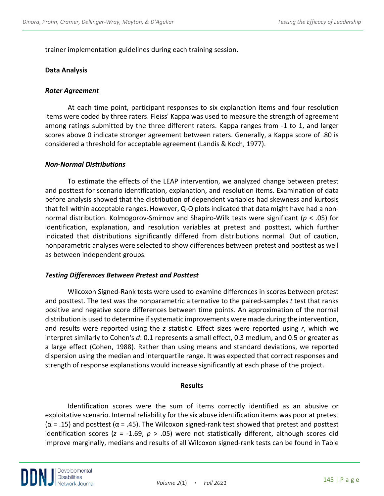trainer implementation guidelines during each training session.

#### **Data Analysis**

#### *Rater Agreement*

At each time point, participant responses to six explanation items and four resolution items were coded by three raters. Fleiss' Kappa was used to measure the strength of agreement among ratings submitted by the three different raters. Kappa ranges from -1 to 1, and larger scores above 0 indicate stronger agreement between raters. Generally, a Kappa score of .80 is considered a threshold for acceptable agreement (Landis & Koch, 1977).

#### *Non-Normal Distributions*

To estimate the effects of the LEAP intervention, we analyzed change between pretest and posttest for scenario identification, explanation, and resolution items. Examination of data before analysis showed that the distribution of dependent variables had skewness and kurtosis that fell within acceptable ranges. However, Q-Q plots indicated that data might have had a nonnormal distribution. Kolmogorov-Smirnov and Shapiro-Wilk tests were significant (*p* < .05) for identification, explanation, and resolution variables at pretest and posttest, which further indicated that distributions significantly differed from distributions normal. Out of caution, nonparametric analyses were selected to show differences between pretest and posttest as well as between independent groups.

#### *Testing Differences Between Pretest and Posttest*

Wilcoxon Signed-Rank tests were used to examine differences in scores between pretest and posttest. The test was the nonparametric alternative to the paired-samples *t* test that ranks positive and negative score differences between time points. An approximation of the normal distribution is used to determine if systematic improvements were made during the intervention, and results were reported using the *z* statistic. Effect sizes were reported using *r*, which we interpret similarly to Cohen's *d*: 0.1 represents a small effect, 0.3 medium, and 0.5 or greater as a large effect (Cohen, 1988). Rather than using means and standard deviations, we reported dispersion using the median and interquartile range. It was expected that correct responses and strength of response explanations would increase significantly at each phase of the project.

#### **Results**

 Identification scores were the sum of items correctly identified as an abusive or exploitative scenario. Internal reliability for the six abuse identification items was poor at pretest  $(\alpha = .15)$  and posttest  $(\alpha = .45)$ . The Wilcoxon signed-rank test showed that pretest and posttest identification scores (*z* = -1.69, *p* > .05) were not statistically different, although scores did improve marginally, medians and results of all Wilcoxon signed-rank tests can be found in Table

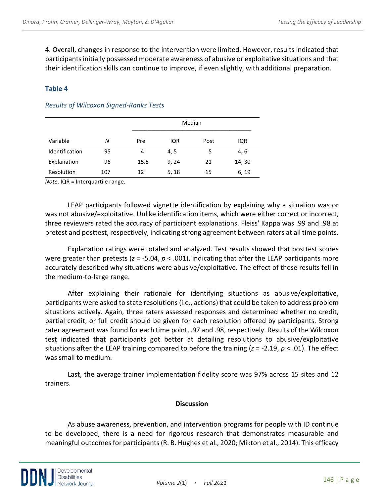4. Overall, changes in response to the intervention were limited. However, results indicated that participants initially possessed moderate awareness of abusive or exploitative situations and that their identification skills can continue to improve, if even slightly, with additional preparation.

## **Table 4**

|                |     |      | Median |      |        |  |
|----------------|-----|------|--------|------|--------|--|
| Variable       | N   | Pre  | IQR    | Post | IQR    |  |
| Identification | 95  | 4    | 4, 5   | 5    | 4, 6   |  |
| Explanation    | 96  | 15.5 | 9, 24  | 21   | 14, 30 |  |
| Resolution     | 107 | 12   | 5, 18  | 15   | 6, 19  |  |

## *Results of Wilcoxon Signed-Ranks Tests*

*Note*. IQR = Interquartile range.

LEAP participants followed vignette identification by explaining why a situation was or was not abusive/exploitative. Unlike identification items, which were either correct or incorrect, three reviewers rated the accuracy of participant explanations. Fleiss' Kappa was .99 and .98 at pretest and posttest, respectively, indicating strong agreement between raters at all time points.

Explanation ratings were totaled and analyzed. Test results showed that posttest scores were greater than pretests (*z* = -5.04, *p* < .001), indicating that after the LEAP participants more accurately described why situations were abusive/exploitative. The effect of these results fell in the medium-to-large range.

After explaining their rationale for identifying situations as abusive/exploitative, participants were asked to state resolutions (i.e., actions) that could be taken to address problem situations actively. Again, three raters assessed responses and determined whether no credit, partial credit, or full credit should be given for each resolution offered by participants. Strong rater agreement was found for each time point, .97 and .98, respectively. Results of the Wilcoxon test indicated that participants got better at detailing resolutions to abusive/exploitative situations after the LEAP training compared to before the training (*z* = -2.19, *p* < .01). The effect was small to medium.

Last, the average trainer implementation fidelity score was 97% across 15 sites and 12 trainers.

## **Discussion**

As abuse awareness, prevention, and intervention programs for people with ID continue to be developed, there is a need for rigorous research that demonstrates measurable and meaningful outcomes for participants (R. B. Hughes et al., 2020; Mikton et al., 2014). This efficacy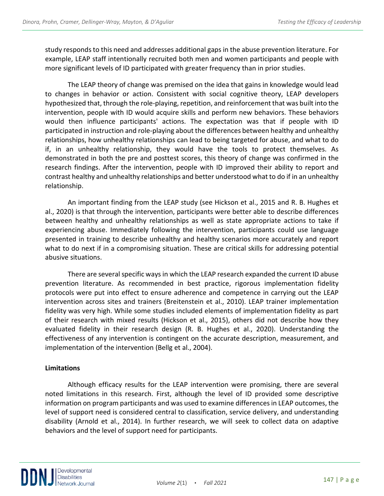study responds to this need and addresses additional gaps in the abuse prevention literature. For example, LEAP staff intentionally recruited both men and women participants and people with more significant levels of ID participated with greater frequency than in prior studies.

 The LEAP theory of change was premised on the idea that gains in knowledge would lead to changes in behavior or action. Consistent with social cognitive theory, LEAP developers hypothesized that, through the role-playing, repetition, and reinforcement that was built into the intervention, people with ID would acquire skills and perform new behaviors. These behaviors would then influence participants' actions. The expectation was that if people with ID participated in instruction and role-playing about the differences between healthy and unhealthy relationships, how unhealthy relationships can lead to being targeted for abuse, and what to do if, in an unhealthy relationship, they would have the tools to protect themselves. As demonstrated in both the pre and posttest scores, this theory of change was confirmed in the research findings. After the intervention, people with ID improved their ability to report and contrast healthy and unhealthy relationships and better understood what to do if in an unhealthy relationship.

An important finding from the LEAP study (see Hickson et al., 2015 and R. B. Hughes et al., 2020) is that through the intervention, participants were better able to describe differences between healthy and unhealthy relationships as well as state appropriate actions to take if experiencing abuse. Immediately following the intervention, participants could use language presented in training to describe unhealthy and healthy scenarios more accurately and report what to do next if in a compromising situation. These are critical skills for addressing potential abusive situations.

 There are several specific ways in which the LEAP research expanded the current ID abuse prevention literature. As recommended in best practice, rigorous implementation fidelity protocols were put into effect to ensure adherence and competence in carrying out the LEAP intervention across sites and trainers (Breitenstein et al., 2010). LEAP trainer implementation fidelity was very high. While some studies included elements of implementation fidelity as part of their research with mixed results (Hickson et al., 2015), others did not describe how they evaluated fidelity in their research design (R. B. Hughes et al., 2020). Understanding the effectiveness of any intervention is contingent on the accurate description, measurement, and implementation of the intervention (Bellg et al., 2004).

## **Limitations**

Although efficacy results for the LEAP intervention were promising, there are several noted limitations in this research. First, although the level of ID provided some descriptive information on program participants and was used to examine differences in LEAP outcomes, the level of support need is considered central to classification, service delivery, and understanding disability (Arnold et al., 2014). In further research, we will seek to collect data on adaptive behaviors and the level of support need for participants.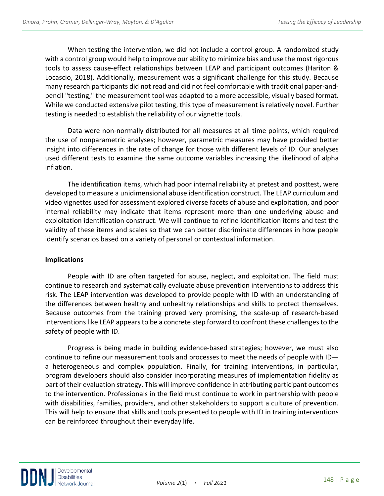When testing the intervention, we did not include a control group. A randomized study with a control group would help to improve our ability to minimize bias and use the most rigorous tools to assess cause-effect relationships between LEAP and participant outcomes (Hariton & Locascio, 2018). Additionally, measurement was a significant challenge for this study. Because many research participants did not read and did not feel comfortable with traditional paper-andpencil "testing," the measurement tool was adapted to a more accessible, visually based format. While we conducted extensive pilot testing, this type of measurement is relatively novel. Further testing is needed to establish the reliability of our vignette tools.

Data were non-normally distributed for all measures at all time points, which required the use of nonparametric analyses; however, parametric measures may have provided better insight into differences in the rate of change for those with different levels of ID. Our analyses used different tests to examine the same outcome variables increasing the likelihood of alpha inflation.

The identification items, which had poor internal reliability at pretest and posttest, were developed to measure a unidimensional abuse identification construct. The LEAP curriculum and video vignettes used for assessment explored diverse facets of abuse and exploitation, and poor internal reliability may indicate that items represent more than one underlying abuse and exploitation identification construct. We will continue to refine identification items and test the validity of these items and scales so that we can better discriminate differences in how people identify scenarios based on a variety of personal or contextual information.

## **Implications**

People with ID are often targeted for abuse, neglect, and exploitation. The field must continue to research and systematically evaluate abuse prevention interventions to address this risk. The LEAP intervention was developed to provide people with ID with an understanding of the differences between healthy and unhealthy relationships and skills to protect themselves. Because outcomes from the training proved very promising, the scale-up of research-based interventions like LEAP appears to be a concrete step forward to confront these challenges to the safety of people with ID.

Progress is being made in building evidence-based strategies; however, we must also continue to refine our measurement tools and processes to meet the needs of people with ID a heterogeneous and complex population. Finally, for training interventions, in particular, program developers should also consider incorporating measures of implementation fidelity as part of their evaluation strategy. This will improve confidence in attributing participant outcomes to the intervention. Professionals in the field must continue to work in partnership with people with disabilities, families, providers, and other stakeholders to support a culture of prevention. This will help to ensure that skills and tools presented to people with ID in training interventions can be reinforced throughout their everyday life.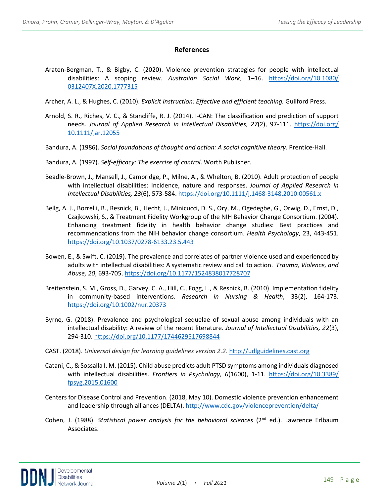#### **References**

- Araten-Bergman, T., & Bigby, C. (2020). Violence prevention strategies for people with intellectual disabilities: A scoping review. *Australian Social Work*, 1–16. [https://doi.org/10.1080/](https://doi.org/10.1080/%200312407X.2020.1777315)  [0312407X.2020.1777315](https://doi.org/10.1080/%200312407X.2020.1777315)
- Archer, A. L., & Hughes, C. (2010). *Explicit instruction: Effective and efficient teaching.* Guilford Press.
- Arnold, S. R., Riches, V. C., & Stancliffe, R. J. (2014). I-CAN: The classification and prediction of support needs. *Journal of Applied Research in Intellectual Disabilities*, *27*(2), 97-111. [https://doi.org/](https://doi.org/%2010.1111/jar.12055)  [10.1111/jar.12055](https://doi.org/%2010.1111/jar.12055)
- Bandura, A. (1986). *Social foundations of thought and action: A social cognitive theory*. Prentice-Hall.
- Bandura, A. (1997). *Self-efficacy: The exercise of control*. Worth Publisher.
- Beadle-Brown, J., Mansell, J., Cambridge, P., Milne, A., & Whelton, B. (2010). Adult protection of people with intellectual disabilities: Incidence, nature and responses. *Journal of Applied Research in Intellectual Disabilities, 23*(6), 573-584[. https://doi.org/10.1111/j.1468-3148.2010.00561.x](https://doi.org/10.1111/j.1468-3148.2010.00561.x)
- Bellg, A. J., Borrelli, B., Resnick, B., Hecht, J., Minicucci, D. S., Ory, M., Ogedegbe, G., Orwig, D., Ernst, D., Czajkowski, S., & Treatment Fidelity Workgroup of the NIH Behavior Change Consortium. (2004). Enhancing treatment fidelity in health behavior change studies: Best practices and recommendations from the NIH behavior change consortium. *Health Psychology*, 23, 443-451. <https://doi.org/10.1037/0278-6133.23.5.443>
- Bowen, E., & Swift, C. (2019). The prevalence and correlates of partner violence used and experienced by adults with intellectual disabilities: A systematic review and call to action. *Trauma, Violence, and Abuse, 20*, 693-705.<https://doi.org/10.1177/1524838017728707>
- Breitenstein, S. M., Gross, D., Garvey, C. A., Hill, C., Fogg, L., & Resnick, B. (2010). Implementation fidelity in community-based interventions. *Research in Nursing & Health*, 33(2), 164-173. <https://doi.org/10.1002/nur.20373>
- Byrne, G. (2018). Prevalence and psychological sequelae of sexual abuse among individuals with an intellectual disability: A review of the recent literature. *Journal of Intellectual Disabilities, 22*(3), 294-310.<https://doi.org/10.1177/1744629517698844>
- CAST. (2018). *Universal design for learning guidelines version 2.2*[. http://udlguidelines.cast.org](http://udlguidelines.cast.org/)
- Catani, C., & Sossalla I. M. (2015). Child abuse predicts adult PTSD symptoms among individuals diagnosed with intellectual disabilities. *Frontiers in Psychology, 6*(1600), 1-11. [https://doi.org/10.3389/](https://doi.org/10.3389/%20fpsyg.2015.01600)  [fpsyg.2015.01600](https://doi.org/10.3389/%20fpsyg.2015.01600)
- Centers for Disease Control and Prevention. (2018, May 10). Domestic violence prevention enhancement and leadership through alliances (DELTA).<http://www.cdc.gov/violenceprevention/delta/>
- Cohen, J. (1988). *Statistical power analysis for the behavioral sciences* (2<sup>nd</sup> ed.). Lawrence Erlbaum Associates.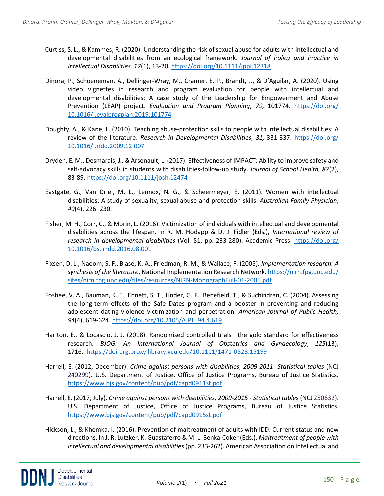- Curtiss, S. L., & Kammes, R. (2020). Understanding the risk of sexual abuse for adults with intellectual and developmental disabilities from an ecological framework. *Journal of Policy and Practice in Intellectual Disabilities, 17*(1), 13-20.<https://doi.org/10.1111/jppi.12318>
- Dinora, P., Schoeneman, A., Dellinger-Wray, M., Cramer, E. P., Brandt, J., & D'Aguilar, A. (2020). Using video vignettes in research and program evaluation for people with intellectual and developmental disabilities: A case study of the Leadership for Empowerment and Abuse Prevention (LEAP) project. *Evaluation and Program Planning*, *79,* 101774. [https://doi.org/](https://doi.org/%2010.1016/j.evalprogplan.2019.101774)  [10.1016/j.evalprogplan.2019.101774](https://doi.org/%2010.1016/j.evalprogplan.2019.101774)
- Doughty, A., & Kane, L. (2010). Teaching abuse-protection skills to people with intellectual disabilities: A review of the literature. *Research in Developmental Disabilities, 31,* 331-337. [https://doi.org/](https://doi.org/%2010.1016/j.ridd.2009.12.007)  [10.1016/j.ridd.2009.12.007](https://doi.org/%2010.1016/j.ridd.2009.12.007)
- Dryden, E. M., Desmarais, J., & Arsenault, L. (2017). Effectiveness of IMPACT: Ability to improve safety and self-advocacy skills in students with disabilities-follow-up study. *Journal of School Health, 87*(2), 83-89.<https://doi.org/10.1111/josh.12474>
- Eastgate, G., Van Driel, M. L., Lennox, N. G., & Scheermeyer, E. (2011). Women with intellectual disabilities: A study of sexuality, sexual abuse and protection skills. *Australian Family Physician*, *40*(4), 226–230.
- Fisher, M. H., Corr, C., & Morin, L. (2016). Victimization of individuals with intellectual and developmental disabilities across the lifespan. In R. M. Hodapp & D. J. Fidler (Eds.), *International review of research in developmental disabilities* (Vol. 51, pp. 233-280). Academic Press. [https://doi.org/](https://doi.org/%2010.1016/bs.irrdd.2016.08.001)  [10.1016/bs.irrdd.2016.08.001](https://doi.org/%2010.1016/bs.irrdd.2016.08.001)
- Fixsen, D. L., Naoom, S. F., Blase, K. A., Friedman, R. M., & Wallace, F. (2005). *Implementation research: A synthesis of the literature*. National Implementation Research Network[. https://nirn.fpg.unc.edu/](https://nirn.fpg.unc.edu/%20sites/nirn.fpg.unc.edu/files/resources/NIRN-MonographFull-01-2005.pdf) [sites/nirn.fpg.unc.edu/files/resources/NIRN-MonographFull-01-2005.pdf](https://nirn.fpg.unc.edu/%20sites/nirn.fpg.unc.edu/files/resources/NIRN-MonographFull-01-2005.pdf)
- Foshee, V. A., Bauman, K. E., Ennett, S. T., Linder, G. F., Benefield, T., & Suchindran, C. (2004). Assessing the long-term effects of the Safe Dates program and a booster in preventing and reducing adolescent dating violence victimization and perpetration. *American Journal of Public Health, 94*(4), 619-624[. https://doi.org/10.2105/AJPH.94.4.619](https://doi.org/10.2105/AJPH.94.4.619)
- Hariton, E., & Locascio, J. J. (2018). Randomised controlled trials—the gold standard for effectiveness research. *BJOG: An International Journal of Obstetrics and Gynaecology*, *125*(13), 1716. <https://doi-org.proxy.library.vcu.edu/10.1111/1471-0528.15199>
- Harrell, E. (2012, December). *Crime against persons with disabilities, 2009-2011- Statistical tables* (NCJ 240299). U.S. Department of Justice, Office of Justice Programs, Bureau of Justice Statistics. <https://www.bjs.gov/content/pub/pdf/capd0911st.pdf>
- Harrell, E. (2017, July). *Crime against persons with disabilities, 2009-2015 - Statistical table*s (NCJ 250632). U.S. Department of Justice, Office of Justice Programs, Bureau of Justice Statistics. <https://www.bjs.gov/content/pub/pdf/capd0915st.pdf>
- Hickson, L., & Khemka, I. (2016). Prevention of maltreatment of adults with IDD: Current status and new directions. In J. R. Lutzker, K. Guastaferro & M. L. Benka-Coker (Eds.), *Maltreatment of people with intellectual and developmental disabilities*(pp. 233-262). American Association on Intellectual and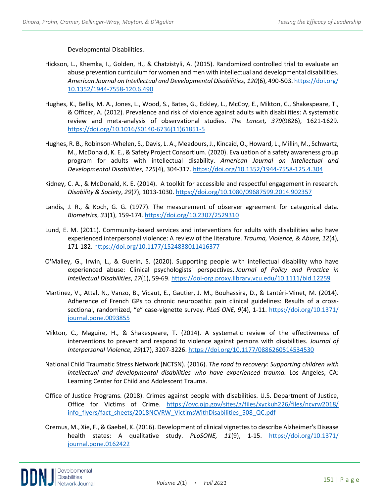Developmental Disabilities.

- Hickson, L., Khemka, I., Golden, H., & Chatzistyli, A. (2015). Randomized controlled trial to evaluate an abuse prevention curriculum for women and men with intellectual and developmental disabilities. *American Journal on Intellectual and Developmental Disabilities, 120*(6), 490-503[. https://doi.org/](https://doi.org/%2010.1352/1944-7558-120.6.490)  [10.1352/1944-7558-120.6.490](https://doi.org/%2010.1352/1944-7558-120.6.490)
- Hughes, K., Bellis, M. A., Jones, L., Wood, S., Bates, G., Eckley, L., McCoy, E., Mikton, C., Shakespeare, T., & Officer, A. (2012). Prevalence and risk of violence against adults with disabilities: A systematic review and meta-analysis of observational studies. *The Lancet, 379*(9826), 1621-1629[.](https://doi.org/10.1016/S0140-6736(11)61851-5) [https://doi.org/10.1016/S0140-6736\(11\)61851-5](https://doi.org/10.1016/S0140-6736(11)61851-5)
- Hughes, R. B., Robinson-Whelen, S., Davis, L. A., Meadours, J., Kincaid, O., Howard, L., Millin, M., Schwartz, M., McDonald, K. E., & Safety Project Consortium. (2020). Evaluation of a safety awareness group program for adults with intellectual disability. *American Journal on Intellectual and Developmental Disabilities*, *125*(4), 304-317[. https://doi.org/10.1352/1944-7558-125.4.304](https://doi.org/10.1352/1944-7558-125.4.304)
- Kidney, C. A., & McDonald, K. E. (2014). A toolkit for accessible and respectful engagement in research. *Disability & Society*, *29*(7), 1013-1030. <https://doi.org/10.1080/09687599.2014.902357>
- Landis, J. R., & Koch, G. G. (1977). The measurement of observer agreement for categorical data. *Biometrics*, *33*(1), 159-174.<https://doi.org/10.2307/2529310>
- Lund, E. M. (2011). Community-based services and interventions for adults with disabilities who have experienced interpersonal violence: A review of the literature. *Trauma, Violence, & Abuse, 12*(4), 171-182.<https://doi.org/10.1177/1524838011416377>
- O'Malley, G., Irwin, L., & Guerin, S. (2020). Supporting people with intellectual disability who have experienced abuse: Clinical psychologists' perspectives. *Journal of Policy and Practice in Intellectual Disabilities*, *17*(1), 59-69.<https://doi-org.proxy.library.vcu.edu/10.1111/bld.12259>
- Martinez, V., Attal, N., Vanzo, B., Vicaut, E., Gautier, J. M., Bouhassira, D., & Lantéri-Minet, M. (2014). Adherence of French GPs to chronic neuropathic pain clinical guidelines: Results of a crosssectional, randomized, "e" case-vignette survey. *PLoS ONE, 9*(4), 1-11. [https://doi.org/10.1371/](https://doi.org/10.1371/%20journal.pone.0093855)  [journal.pone.0093855](https://doi.org/10.1371/%20journal.pone.0093855)
- Mikton, C., Maguire, H., & Shakespeare, T. (2014). A systematic review of the effectiveness of interventions to prevent and respond to violence against persons with disabilities. *Journal of Interpersonal Violence, 29*(17), 3207-3226[. https://doi.org/10.1177/0886260514534530](https://doi.org/10.1177/0886260514534530)
- National Child Traumatic Stress Network (NCTSN). (2016). *The road to recovery: Supporting children with intellectual and developmental disabilities who have experienced trauma.* Los Angeles, CA: Learning Center for Child and Adolescent Trauma.
- Office of Justice Programs. (2018). Crimes against people with disabilities. U.S. Department of Justice, Office for Victims of Crime. [https://ovc.ojp.gov/sites/g/files/xyckuh226/files/ncvrw2018/](https://ovc.ojp.gov/sites/g/files/xyckuh226/files/ncvrw2018/%20info_flyers/fact_sheets/2018NCVRW_VictimsWithDisabilities_508_QC.pdf)  [info\\_flyers/fact\\_sheets/2018NCVRW\\_VictimsWithDisabilities\\_508\\_QC.pdf](https://ovc.ojp.gov/sites/g/files/xyckuh226/files/ncvrw2018/%20info_flyers/fact_sheets/2018NCVRW_VictimsWithDisabilities_508_QC.pdf)
- Oremus, M., Xie, F., & Gaebel, K. (2016). Development of clinical vignettes to describe Alzheimer's Disease health states: A qualitative study. *PLoSONE, 11*(9), 1-15. [https://doi.org/10.1371/](https://doi.org/10.1371/%20journal.pone.0162422)  [journal.pone.0162422](https://doi.org/10.1371/%20journal.pone.0162422)